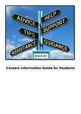

## Careers Information Guide for Students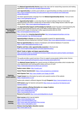| <b>Apprenticeships</b><br>and Degree<br><b>Apprenticeships</b> | The National Apprenticeship Service page is the main site for researching vacancies and making<br>applications https://www.gov.uk/apply-apprenticeship                                                                                                                                                   |
|----------------------------------------------------------------|----------------------------------------------------------------------------------------------------------------------------------------------------------------------------------------------------------------------------------------------------------------------------------------------------------|
|                                                                | Love Apprenticeship is another good website on apprenticeships providing vacancies and advice<br>http://www.loveapprenticeship.com/jobs/performing-arts-broadcast-and-media/east-<br>sussex/#browsing                                                                                                    |
|                                                                | The latest apprenticeship campaign from the National Apprenticeship Service - find out more:<br>https://www.getingofar.gov.uk/                                                                                                                                                                           |
|                                                                | The Apprenticeship Guide is a one-stop-shop for anyone looking to find out more about<br>apprenticeships and offers a whole host of information to help college leavers make the right<br>career choice. http://www.apprenticeshipguide.co.uk/                                                           |
|                                                                | The Apprenticeship Support and Knowledge for Schools project has been commissioned by the<br>National Apprenticeship Service, part of the Skills Funding Agency (SFA), to support the<br>Government's target of achieving 3 million apprenticeship starts by 2020.<br>http://amazingapprenticeships.com/ |
|                                                                | News Articles from Amazing Apprenticeships http://amazingapprenticeships.com/wp-<br>content/uploads/Top-100-final-small.pdf                                                                                                                                                                              |
|                                                                | Apprenticeships in Sussex can help young people to search for apprenticeship,<br>traineeship and pre-employment training in Sussex http://www.apprenticeships-in-sussex.com/                                                                                                                             |
|                                                                | Rate my apprenticeship has reviews of employers and national database of vacancies<br>https://www.ratemyapprenticeship.co.uk/                                                                                                                                                                            |
|                                                                | Brighton and Hove Jobs' apprenticeship vacancies in the local area<br>http://www.brightonandhovejobs.com/jobs/apprenticeship-/                                                                                                                                                                           |
|                                                                | Which? Guide to higher and degree apprenticeships<br>http://university.which.co.uk/teachers/introduce-higher-education-options/higher-and-degree-<br>apprenticeships-quide-download                                                                                                                      |
|                                                                |                                                                                                                                                                                                                                                                                                          |
|                                                                | This guide provides a good overview of how to support young people making career choices<br>http://www.careersadviceforparents.org/p/choosing-career-paths.html                                                                                                                                          |
|                                                                | The National Careers Service has a good overview of different job profiles which includes their<br>entry requirements and training paths, duties and hours of work:<br>https://nationalcareersservice.direct.gov.uk/home                                                                                 |
|                                                                | Explore career videos: http://icould.com/                                                                                                                                                                                                                                                                |
|                                                                | Career Planner Questionnaire: https://www.prospects.ac.uk/planner                                                                                                                                                                                                                                        |
|                                                                | SACU Spartan Test: http://sacu-student.com/?page_id=2850                                                                                                                                                                                                                                                 |
| <b>Exploring</b><br>careers/options                            | Target Careers has information by sector and a parents section of the website<br>https://targetcareers.co.uk/                                                                                                                                                                                            |
|                                                                | Explore jobs related to different degrees through Prospects https://www.prospects.ac.uk/                                                                                                                                                                                                                 |
|                                                                | OCR Careers page for learners and parents http://www.ocr.org.uk/ocr-for/learners-and-<br>parents/careers/                                                                                                                                                                                                |
|                                                                | Careers websites offering information on a range of options<br>https://www.brightknowledge.org/<br>http://www.notgoingtouni.co.uk/<br>https://successatschool.org/<br>Resource for parents http://www.parentalguidance.org.uk/                                                                           |
|                                                                |                                                                                                                                                                                                                                                                                                          |
|                                                                | Short courses which may be helpful:<br>https://www.futurelearn.com                                                                                                                                                                                                                                       |
| <b>Distance</b>                                                | https://www.khanacademy.org/<br>http://www.open.edu/openlearn/free-courses                                                                                                                                                                                                                               |
| Learning                                                       | https://www.codecademy.com/<br><b>Distance learning higher education courses</b>                                                                                                                                                                                                                         |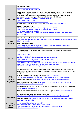|                                                                                  | <b>Employability advice:</b><br>https://www.barclayslifeskills.com/<br>http://beach.brightonandhovejobs.com/                                                                                                                                                                                                                                                                                                                                                                                                                                                                                                                                                                                                                                                                                                                                                                                                                          |
|----------------------------------------------------------------------------------|---------------------------------------------------------------------------------------------------------------------------------------------------------------------------------------------------------------------------------------------------------------------------------------------------------------------------------------------------------------------------------------------------------------------------------------------------------------------------------------------------------------------------------------------------------------------------------------------------------------------------------------------------------------------------------------------------------------------------------------------------------------------------------------------------------------------------------------------------------------------------------------------------------------------------------------|
| <b>Finding work</b>                                                              | Part-time work (we do not recommend that students undertake any more than 12 hours work<br>whilst completing their studies). The College is not responsible for vacancies advertised on<br>external websites. Individuals should take their own steps in ensuring the validity of the<br>opportunity when contacting any of the advertised groups or individuals:<br>https://www.reed.co.uk/ and https://www.indeed.co.uk/<br>https://www.cv-library.co.uk/<br>https://www.gumtree.com/part-time-jobs/brighton<br>Agency Central Recruitment Agencies and Jobs http://www.agencycentral.co.uk/<br><b>CVs and Covering letters:</b><br>https://nationalcareersservice.direct.gov.uk/get-a-job/cv-sections<br>http://beach.brightonandhovejobs.com/applying-for-a-job/your-cv/<br>https://www.reed.co.uk/career-advice/<br>https://www.barclayslifeskills.com/i-want-to-use-my-online-presence-to-get-ahead/started-<br>work/cv-builder |
|                                                                                  | You may wish to look at other local colleges:                                                                                                                                                                                                                                                                                                                                                                                                                                                                                                                                                                                                                                                                                                                                                                                                                                                                                         |
| <b>Further</b><br>education                                                      | http://www.theargus.co.uk/education/search/?school=&postcode=Brighton&distance=5&phase%5<br>B0%5D=is_post16&p=0                                                                                                                                                                                                                                                                                                                                                                                                                                                                                                                                                                                                                                                                                                                                                                                                                       |
|                                                                                  | <b>Adult education providers:</b><br>https://www.brighton-hove.gov.uk/content/children-and-education/community-learning-<br>team/adult-learning-providers-and-courses                                                                                                                                                                                                                                                                                                                                                                                                                                                                                                                                                                                                                                                                                                                                                                 |
|                                                                                  | These websites below offer general advice on taking a gap year and do not include specialist<br>company websites.                                                                                                                                                                                                                                                                                                                                                                                                                                                                                                                                                                                                                                                                                                                                                                                                                     |
| <b>Gap Year</b>                                                                  | http://gapadvice.org/<br>http://www.gap-year.com/<br>https://www.prospects.ac.uk/jobs-and-work-experience/gap-year<br>https://www.gov.uk/guidance/gap-year-foreign-travel-advice<br>https://travelaware.campaign.gov.uk/<br>http://www.etrust.org.uk/the-year-in-industry http://www.thestudentroom.co.uk/search-beta/?tsr-<br>search-query=qap+year https://www.studential.com/qap-year-quide<br>https://successatschool.org/advice/gap-years                                                                                                                                                                                                                                                                                                                                                                                                                                                                                        |
|                                                                                  | There are Information, Advice and Guidance services run by Local Authorities who can support<br>young people not in education, employment or training. The service to refer to depends on where a<br>young person lives.                                                                                                                                                                                                                                                                                                                                                                                                                                                                                                                                                                                                                                                                                                              |
| Not in<br><b>Education,</b><br><b>Training or</b><br><b>Employment</b><br>(NEET) | Brighton and Hove Youth Employability Service: http://www.brighton-<br>hove.gov.uk/content/children-and-education/youth-service/youth-employability-service                                                                                                                                                                                                                                                                                                                                                                                                                                                                                                                                                                                                                                                                                                                                                                           |
|                                                                                  | East Sussex Connexions: https://www.c360.org.uk/education/careers/criconnexions                                                                                                                                                                                                                                                                                                                                                                                                                                                                                                                                                                                                                                                                                                                                                                                                                                                       |
|                                                                                  | West Sussex Find It Out Centres: https://www.westsussex.gov.uk/education-children-and-<br>families/your-space/life/finditout-centres/                                                                                                                                                                                                                                                                                                                                                                                                                                                                                                                                                                                                                                                                                                                                                                                                 |
|                                                                                  | The Prince's Trust runs offers support and runs programmes to build skills and work experience<br>https://www.princes-trust.org.uk/                                                                                                                                                                                                                                                                                                                                                                                                                                                                                                                                                                                                                                                                                                                                                                                                   |
|                                                                                  | National Citizen Service summer programme for 16 - 17 year olds http://www.ncsyes.co.uk/                                                                                                                                                                                                                                                                                                                                                                                                                                                                                                                                                                                                                                                                                                                                                                                                                                              |
| <b>Qualifications</b>                                                            | Government page on what qualifications levels mean<br>https://www.gov.uk/what-different-qualification-levels-mean/list-of-qualification-levels                                                                                                                                                                                                                                                                                                                                                                                                                                                                                                                                                                                                                                                                                                                                                                                        |
|                                                                                  | Informed choices http://russellgroup.ac.uk/for-students/school-and-college-in-the-uk/subject-<br>choices-at-school-and-college/                                                                                                                                                                                                                                                                                                                                                                                                                                                                                                                                                                                                                                                                                                                                                                                                       |
| <b>School/College</b><br><b>Leaver</b><br><b>Schemes</b>                         | https://www.allaboutschoolleavers.co.uk/<br>http://www.thebigchoice.com/School_College_Leavers<br>http://www.milkround.com/jobs/school-college-leaver-schemes/#browsing<br>https://www.notgoingtouni.co.uk/                                                                                                                                                                                                                                                                                                                                                                                                                                                                                                                                                                                                                                                                                                                           |